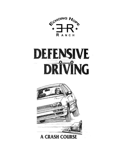





#### A CRASH COURSE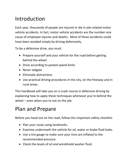# Introduction

Each year, thousands of people are injured or die in job-related motor vehicle accidents. In fact, motor vehicle accidents are the number-one cause of employee injuries and deaths. Most of these accidents could have been avoided simply by driving defensively.

To be a defensive drive, you must:

- Prepare yourself and your vehicle for the road before getting behind the wheel
- Drive according to posted speed limits
- Never tailgate
- Eliminate distractions
- Use practical driving procedures in the city, on the freeway and in rural areas.

This handbook will take you on a crash course in defensive driving by explaining how to apply these techniques whenever you're behind the wheel – even when you're not on the job.

### Plan and Prepare

Before you head out on the road, follow this important safety checklist:

- Plan your route using landmarks.
- Examine underneath the vehicle for oil, water or brake fluid leaks.
- Use a tire gauge to make sure your tires are inflated to the recommended pressure.
- Check the levels of oil and windshield washer fluid.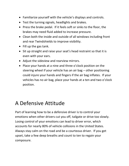- Familiarize yourself with the vehicle's displays and controls.
- Test the turning signals, headlights and brakes.
- Press the brake pedal. If it feels soft or sinks to the floor, the brakes may need fluid added to increase pressure.
- Clean both the inside and outside of all windows including front and rear Twindshields to improve visibility.
- Fill up the gas tank.
- Sit up straight and raise your seat's head restraint so that it is even with your ears.
- Adjust the sideview and rearview mirrors.
- Place your hands at a nine and three o'clock position on the steering wheel if your vehicle has an air bag – other positioning could injure your hands and fingers if the air bag inflates. If your vehicles has no air bag, place your hands at a ten and two o'clock position.

# A Defensive Attitude

Part of learning how to be a defensive driver is to control your emotions when other drivers cut you off, tailgate or drive too slowly. Losing control of your emotions can lead to driver error, which accounts for nearly 80% of vehicle collisions in the United States. Always stay calm on the road and be a courteous driver. If you get upset, take a few deep breaths and count to ten to regain your composure.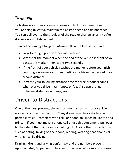#### *Tailgating*

Tailgating is a common cause of losing control of your emotions. If you're being tailgated, maintain the posted speed and do not react. You can pull over to the shoulder of the road or change lanes if you're driving on a multi-lane road.

To avoid becoming a tailgater, *always* follow the two-second rule:

- Look for a sign, pole or other road marker.
- Watch for the moment when the end of the vehicle in front of you passes the marker, then count two seconds.
- If the front of your vehicle reaches the marker before you finish counting, decrease your speed until you achieve the desired twosecond distance.
- Increase your following distance time to three or four seconds whenever you drive in rain, snow or fog. Also use a longer following distance on bumpy roads.

# Driven to Distractions

One of the most preventable, yet common factors in motor vehicle accidents is driver distraction. Many drivers use their vehicle as a portable office – complete with cellular phone, fax machine, laptop and printer. If you must make a phone call or use this equipment, pull over to the side of the road or into a parking lot. Avoid other distractions – such as eating, talking on the phone, reading, wearing headphones or writing – while driving.

Drinking, drugs and driving don't mix – and the numbers prove it. Approximately 55 percent of fatal motor vehicle collisions and injuries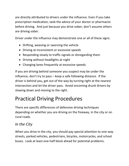are directly attributed to drivers under the influence. Even if you take prescription medication, seek the advice of your doctor or pharmacist before driving. And just because you drive sober, don't assume others are driving sober.

Driver under the influence may demonstrate one or all of these signs:

- Drifting, weaving or swerving the vehicle
- Driving at inconsistent or excessive speeds
- Responding slowly to traffic signals or disregarding them
- Driving without headlights at night
- Changing lanes frequently at excessive speeds

If you are driving behind someone you suspect may be under the influence, don't try to pass – keep a safe following distance. If the driver is behind you, get out of the way by turning right at the nearest intersection and let the driver pass. Avoid oncoming drunk drivers by slowing down and moving to the right.

# Practical Driving Procedures

There are specific differences of defensive driving techniques depending on whether you are driving on the freeway, in the city or on rural roads.

#### *In the City*

When you drive in the city, you should pay special attention to one-way streets, parked vehicles, pedestrians, bicycles, motorcycles, and school buses. Look at least one-half block ahead for potential problems.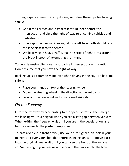Turning is quite common in city driving, so follow these tips for turning safely:

- Get in the correct lane, signal at least 100 feet before the intersection and yield the right-of-way to oncoming vehicles and pedestrians.
- If two approaching vehicles signal for a left turn, both should take the lane closest to the center.
- While driving in heavy traffic, make a series of right turns around the block instead of attempting a left turn.

To be a defensive city driver, approach all intersections with caution. Don't assume that you have the right-of-way.

Backing up is a common maneuver when driving in the city. To back up safely:

- Place your hands on top of the steering wheel.
- Move the steering wheel in the direction you want to turn.
- Look out the rear window for increased visibility.

#### *On the Freeway*

Enter the freeway by accelerating to the speed of traffic, then merge while using your turn signal when you see a safe gap between vehicles. When exiting the freeway, wait until you are in the deceleration lane before slowing to the posted ramp speed.

To pass a vehicle in front of you, use your turn signal then look in your mirrors and over your shoulder before changing lanes. To move back into the original lane, wait until you can see the front of the vehicle you're passing in your rearview mirror and then move into the lane.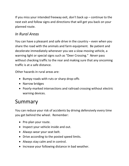If you miss your intended freeway exit, don't back  $up$  – continue to the next exit and follow signs and directions that will get you back on your planned route.

#### *In Rural Areas*

You can have a pleasant and safe drive in the country – even when you share the road with the animals and farm equipment. Be patient and decelerate immediately whenever you see a slow-moving vehicle, a warning light or special signs such as "Deer Crossing." *Never* pass without checking traffic to the rear and making sure that any oncoming traffic is at a safe distance.

Other hazards in rural areas are:

- Bumpy roads with ruts or sharp drop-offs
- Narrow bridges
- Poorly-marked intersections and railroad crossing without electric warning devices.

# Summary

You can reduce your risk of accidents by driving defensively every time you get behind the wheel. Remember:

- Pre-plan your route.
- Inspect your vehicle inside and out.
- Always wear your seat belt.
- Drive according to the posted speed limits.
- Always stay calm and in control.
- Increase your following distance in bad weather.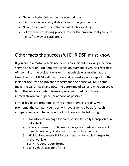- Never tailgate. Follow the two-second rule.
- Eliminate unnecessary distractions inside your vehicle.
- Never drive under the influence of alcohol or drugs.
- Follow practical driving procedures for the environment you're in – city, freeway or rural areas.

### Other facts the successful EHR DSP must know

If you are in a motor vehicle accident (ANY incident involving a person served and/or an EHR employee while on duty and a vehicle regardless of how minor the accident was or if that vehicle was moving at the time) then you MUST call the police and request a police report. If the incident occurred on private property and the police will NOT come, make the call anyway and note the date/time of call and who you spoke to on the vehicle accident form as proof you tried. Notify your immediate/on-call supervisor as soon as possible.

For facility based programs (any residential services or day/work programs) the company vehicles will have a vehicle book for each company vehicle. The vehicle book will contain the following:

- 1. Vital information page for each person typically transported in that vehicle.
- 2. General consent form to seek emergency medical treatment for each person typically transported in that vehicle.
- 3. Individualized needs list for each person typically transported in that vehicle.
- 4. Blank incident report forms
- 5. Blank vehicle accident forms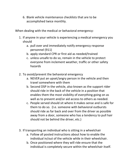6. Blank vehicle maintenance checklists that are to be accomplished twice monthly.

When dealing with the medical or behavioral emergency:

- 1. If anyone in your vehicle is experiencing a medical emergency you should
	- a. pull over and immediately notify emergency response personnel (911)
	- b. apply standard CPR or first aid as needed/trained
	- c. unless unsafe to do so, remain in the vehicle to protect everyone from inclement weather, traffic or other safety hazards
- 2. To avoid/prevent the behavioral emergency
	- a. NEVER put an upset/angry person in the vehicle and then travel somewhere with them
	- b. Second DSP in the vehicle, also known as the support rider should ride in the back of the vehicle in a position that enables them the most visibility of everything going on as well as to prevent and/or aid access to others as needed.
	- c. People served should sit where it makes sense and is safe for them to do so. (I.e. someone with behavioral outbursts should ride as far back and over from the driver as possible away from a door, someone who has a tendency to pull hair should not be behind the driver, etc.)
- 3. If transporting an individual who is sitting in a wheelchair
	- a. Follow all posted instructions about how to enable the individual in/out of the vehicle while in their wheelchair.
	- b. Once positioned where they will ride ensure that the individual is completely secure within the wheelchair itself.